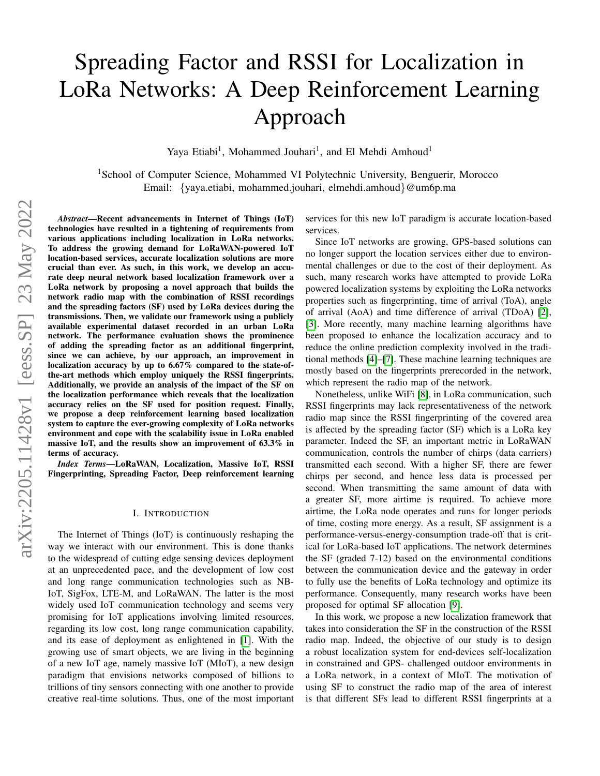# Spreading Factor and RSSI for Localization in LoRa Networks: A Deep Reinforcement Learning Approach

Yaya Etiabi<sup>1</sup>, Mohammed Jouhari<sup>1</sup>, and El Mehdi Amhoud<sup>1</sup>

<sup>1</sup>School of Computer Science, Mohammed VI Polytechnic University, Benguerir, Morocco Email: {yaya.etiabi, mohammed.jouhari, elmehdi.amhoud}@um6p.ma

*Abstract*—Recent advancements in Internet of Things (IoT) technologies have resulted in a tightening of requirements from various applications including localization in LoRa networks. To address the growing demand for LoRaWAN-powered IoT location-based services, accurate localization solutions are more crucial than ever. As such, in this work, we develop an accurate deep neural network based localization framework over a LoRa network by proposing a novel approach that builds the network radio map with the combination of RSSI recordings and the spreading factors (SF) used by LoRa devices during the transmissions. Then, we validate our framework using a publicly available experimental dataset recorded in an urban LoRa network. The performance evaluation shows the prominence of adding the spreading factor as an additional fingerprint, since we can achieve, by our approach, an improvement in localization accuracy by up to 6.67% compared to the state-ofthe-art methods which employ uniquely the RSSI fingerprints. Additionally, we provide an analysis of the impact of the SF on the localization performance which reveals that the localization accuracy relies on the SF used for position request. Finally, we propose a deep reinforcement learning based localization system to capture the ever-growing complexity of LoRa networks environment and cope with the scalability issue in LoRa enabled massive IoT, and the results show an improvement of 63.3% in terms of accuracy.

*Index Terms*—LoRaWAN, Localization, Massive IoT, RSSI Fingerprinting, Spreading Factor, Deep reinforcement learning

#### I. INTRODUCTION

The Internet of Things (IoT) is continuously reshaping the way we interact with our environment. This is done thanks to the widespread of cutting edge sensing devices deployment at an unprecedented pace, and the development of low cost and long range communication technologies such as NB-IoT, SigFox, LTE-M, and LoRaWAN. The latter is the most widely used IoT communication technology and seems very promising for IoT applications involving limited resources, regarding its low cost, long range communication capability, and its ease of deployment as enlightened in [\[1\]](#page-5-0). With the growing use of smart objects, we are living in the beginning of a new IoT age, namely massive IoT (MIoT), a new design paradigm that envisions networks composed of billions to trillions of tiny sensors connecting with one another to provide creative real-time solutions. Thus, one of the most important services for this new IoT paradigm is accurate location-based services.

Since IoT networks are growing, GPS-based solutions can no longer support the location services either due to environmental challenges or due to the cost of their deployment. As such, many research works have attempted to provide LoRa powered localization systems by exploiting the LoRa networks properties such as fingerprinting, time of arrival (ToA), angle of arrival (AoA) and time difference of arrival (TDoA) [\[2\]](#page-5-1), [\[3\]](#page-5-2). More recently, many machine learning algorithms have been proposed to enhance the localization accuracy and to reduce the online prediction complexity involved in the traditional methods [\[4\]](#page-5-3)–[\[7\]](#page-5-4). These machine learning techniques are mostly based on the fingerprints prerecorded in the network, which represent the radio map of the network.

Nonetheless, unlike WiFi [\[8\]](#page-5-5), in LoRa communication, such RSSI fingerprints may lack representativeness of the network radio map since the RSSI fingerprinting of the covered area is affected by the spreading factor (SF) which is a LoRa key parameter. Indeed the SF, an important metric in LoRaWAN communication, controls the number of chirps (data carriers) transmitted each second. With a higher SF, there are fewer chirps per second, and hence less data is processed per second. When transmitting the same amount of data with a greater SF, more airtime is required. To achieve more airtime, the LoRa node operates and runs for longer periods of time, costing more energy. As a result, SF assignment is a performance-versus-energy-consumption trade-off that is critical for LoRa-based IoT applications. The network determines the SF (graded 7-12) based on the environmental conditions between the communication device and the gateway in order to fully use the benefits of LoRa technology and optimize its performance. Consequently, many research works have been proposed for optimal SF allocation [\[9\]](#page-5-6).

In this work, we propose a new localization framework that takes into consideration the SF in the construction of the RSSI radio map. Indeed, the objective of our study is to design a robust localization system for end-devices self-localization in constrained and GPS- challenged outdoor environments in a LoRa network, in a context of MIoT. The motivation of using SF to construct the radio map of the area of interest is that different SFs lead to different RSSI fingerprints at a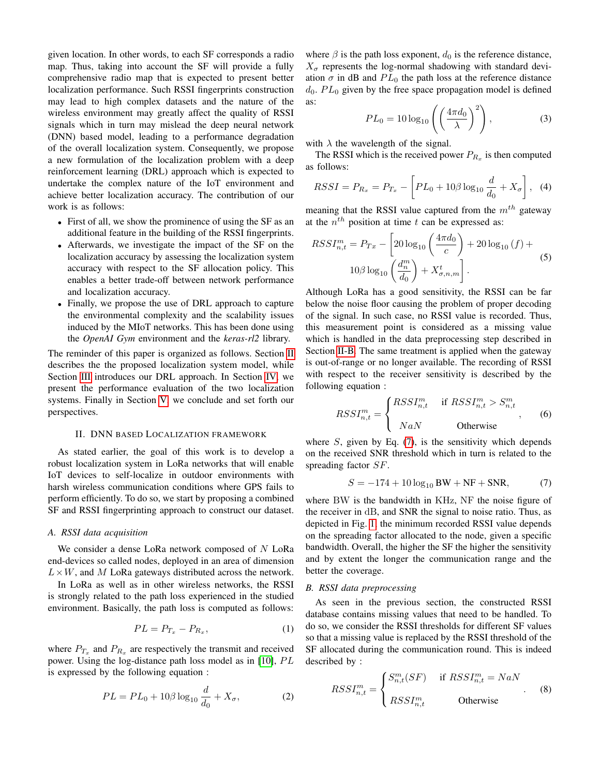given location. In other words, to each SF corresponds a radio map. Thus, taking into account the SF will provide a fully comprehensive radio map that is expected to present better localization performance. Such RSSI fingerprints construction may lead to high complex datasets and the nature of the wireless environment may greatly affect the quality of RSSI signals which in turn may mislead the deep neural network (DNN) based model, leading to a performance degradation of the overall localization system. Consequently, we propose a new formulation of the localization problem with a deep reinforcement learning (DRL) approach which is expected to undertake the complex nature of the IoT environment and achieve better localization accuracy. The contribution of our work is as follows:

- First of all, we show the prominence of using the SF as an additional feature in the building of the RSSI fingerprints.
- Afterwards, we investigate the impact of the SF on the localization accuracy by assessing the localization system accuracy with respect to the SF allocation policy. This enables a better trade-off between network performance and localization accuracy.
- Finally, we propose the use of DRL approach to capture the environmental complexity and the scalability issues induced by the MIoT networks. This has been done using the *OpenAI Gym* environment and the *keras-rl2* library.

The reminder of this paper is organized as follows. Section [II](#page-1-0) describes the the proposed localization system model, while Section [III](#page-2-0) introduces our DRL approach. In Section [IV,](#page-3-0) we present the performance evaluation of the two localization systems. Finally in Section [V,](#page-5-7) we conclude and set forth our perspectives.

## II. DNN BASED LOCALIZATION FRAMEWORK

<span id="page-1-0"></span>As stated earlier, the goal of this work is to develop a robust localization system in LoRa networks that will enable IoT devices to self-localize in outdoor environments with harsh wireless communication conditions where GPS fails to perform efficiently. To do so, we start by proposing a combined SF and RSSI fingerprinting approach to construct our dataset.

## *A. RSSI data acquisition*

We consider a dense LoRa network composed of  $N$  LoRa end-devices so called nodes, deployed in an area of dimension  $L \times W$ , and M LoRa gateways distributed across the network.

In LoRa as well as in other wireless networks, the RSSI is strongly related to the path loss experienced in the studied environment. Basically, the path loss is computed as follows:

$$
PL = P_{T_x} - P_{R_x},\tag{1}
$$

where  $P_{T_x}$  and  $P_{R_x}$  are respectively the transmit and received power. Using the log-distance path loss model as in  $[10]$ ,  $PL$ is expressed by the following equation :

$$
PL = PL_0 + 10\beta \log_{10} \frac{d}{d_0} + X_{\sigma},
$$
 (2)

where  $\beta$  is the path loss exponent,  $d_0$  is the reference distance,  $X_{\sigma}$  represents the log-normal shadowing with standard deviation  $\sigma$  in dB and  $PL_0$  the path loss at the reference distance  $d_0$ .  $PL_0$  given by the free space propagation model is defined as:

$$
PL_0 = 10 \log_{10} \left( \left( \frac{4\pi d_0}{\lambda} \right)^2 \right), \tag{3}
$$

with  $\lambda$  the wavelength of the signal.

The RSSI which is the received power  $P_{R_x}$  is then computed as follows:

$$
RSSI = P_{R_x} = P_{T_x} - \left[ PL_0 + 10\beta \log_{10} \frac{d}{d_0} + X_{\sigma} \right], \quad (4)
$$

meaning that the RSSI value captured from the  $m<sup>th</sup>$  gateway at the  $n^{th}$  position at time t can be expressed as:

<span id="page-1-3"></span>
$$
RSSI_{n,t}^{m} = P_{Tx} - \left[20\log_{10}\left(\frac{4\pi d_0}{c}\right) + 20\log_{10}(f) + \frac{10\beta\log_{10}\left(\frac{d_n^m}{d_0}\right) + X_{\sigma,n,m}^t\right].
$$
\n(5)

Although LoRa has a good sensitivity, the RSSI can be far below the noise floor causing the problem of proper decoding of the signal. In such case, no RSSI value is recorded. Thus, this measurement point is considered as a missing value which is handled in the data preprocessing step described in Section [II-B.](#page-1-1) The same treatment is applied when the gateway is out-of-range or no longer available. The recording of RSSI with respect to the receiver sensitivity is described by the following equation :

$$
RSSI_{n,t}^m = \begin{cases} RSSI_{n,t}^m & \text{if } RSSI_{n,t}^m > S_{n,t}^m \\ NaN & \text{Otherwise} \end{cases}
$$
 (6)

where  $S$ , given by Eq. [\(7\)](#page-1-2), is the sensitivity which depends on the received SNR threshold which in turn is related to the spreading factor SF.

<span id="page-1-2"></span>
$$
S = -174 + 10\log_{10} BW + NF + SNR, \tag{7}
$$

where BW is the bandwidth in KHz, NF the noise figure of the receiver in dB, and SNR the signal to noise ratio. Thus, as depicted in Fig. [1,](#page-2-1) the minimum recorded RSSI value depends on the spreading factor allocated to the node, given a specific bandwidth. Overall, the higher the SF the higher the sensitivity and by extent the longer the communication range and the better the coverage.

# <span id="page-1-1"></span>*B. RSSI data preprocessing*

As seen in the previous section, the constructed RSSI database contains missing values that need to be handled. To do so, we consider the RSSI thresholds for different SF values so that a missing value is replaced by the RSSI threshold of the SF allocated during the communication round. This is indeed described by :

$$
RSSI_{n,t}^m = \begin{cases} S_{n,t}^m (SF) & \text{if } RSSI_{n,t}^m = NaN \\ RSSI_{n,t}^m & \text{Otherwise} \end{cases} \tag{8}
$$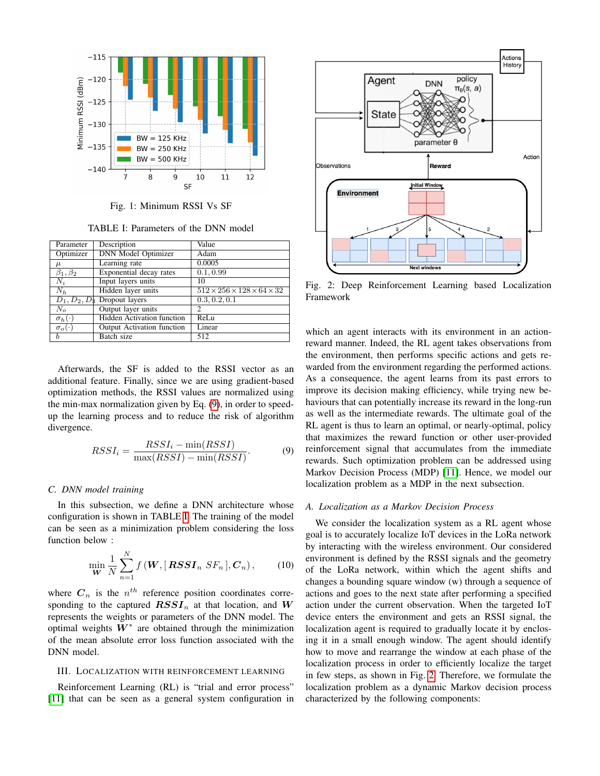<span id="page-2-1"></span>

Fig. 1: Minimum RSSI Vs SF

TABLE I: Parameters of the DNN model

<span id="page-2-3"></span>

| Parameter          | Description                       | Value                                           |
|--------------------|-----------------------------------|-------------------------------------------------|
| Optimizer          | <b>DNN</b> Model Optimizer        | Adam                                            |
| $\mu$              | Learning rate                     | 0.0005                                          |
| $\beta_1, \beta_2$ | Exponential decay rates           | 0.1, 0.99                                       |
| $N_i$              | Input layers units                | 10                                              |
| $N_h$              | Hidden layer units                | $512 \times 256 \times 128 \times 64 \times 32$ |
|                    | $D_1, D_2, D_3$ Dropout layers    | 0.3, 0.2, 0.1                                   |
| $N_o$              | Output layer units                | 2                                               |
| $\sigma_h(\cdot)$  | <b>Hidden Activation function</b> | ReLu                                            |
| $\sigma_o(\cdot)$  | <b>Output Activation function</b> | Linear                                          |
| b                  | Batch size                        | 512                                             |

Afterwards, the SF is added to the RSSI vector as an additional feature. Finally, since we are using gradient-based optimization methods, the RSSI values are normalized using the min-max normalization given by Eq. [\(9\)](#page-2-2), in order to speedup the learning process and to reduce the risk of algorithm divergence.

<span id="page-2-2"></span>
$$
RSSI_i = \frac{RSSI_i - \min(RSSI)}{\max(RSSI) - \min(RSSI)}.
$$
\n(9)

## *C. DNN model training*

In this subsection, we define a DNN architecture whose configuration is shown in TABLE [I.](#page-2-3) The training of the model can be seen as a minimization problem considering the loss function below :

$$
\min_{\boldsymbol{W}} \frac{1}{N} \sum_{n=1}^{N} f(\boldsymbol{W}, [\boldsymbol{RSSI}_n \ \boldsymbol{SF}_n], \boldsymbol{C}_n), \qquad (10)
$$

where  $C_n$  is the  $n^{th}$  reference position coordinates corresponding to the captured  $RSSI_n$  at that location, and W represents the weights or parameters of the DNN model. The optimal weights  $W^*$  are obtained through the minimization of the mean absolute error loss function associated with the DNN model.

## <span id="page-2-0"></span>III. LOCALIZATION WITH REINFORCEMENT LEARNING

Reinforcement Learning (RL) is "trial and error process" [\[11\]](#page-5-9) that can be seen as a general system configuration in

<span id="page-2-4"></span>

Fig. 2: Deep Reinforcement Learning based Localization Framework

which an agent interacts with its environment in an actionreward manner. Indeed, the RL agent takes observations from the environment, then performs specific actions and gets rewarded from the environment regarding the performed actions. As a consequence, the agent learns from its past errors to improve its decision making efficiency, while trying new behaviours that can potentially increase its reward in the long-run as well as the intermediate rewards. The ultimate goal of the RL agent is thus to learn an optimal, or nearly-optimal, policy that maximizes the reward function or other user-provided reinforcement signal that accumulates from the immediate rewards. Such optimization problem can be addressed using Markov Decision Process (MDP) [\[11\]](#page-5-9). Hence, we model our localization problem as a MDP in the next subsection.

## *A. Localization as a Markov Decision Process*

We consider the localization system as a RL agent whose goal is to accurately localize IoT devices in the LoRa network by interacting with the wireless environment. Our considered environment is defined by the RSSI signals and the geometry of the LoRa network, within which the agent shifts and changes a bounding square window (w) through a sequence of actions and goes to the next state after performing a specified action under the current observation. When the targeted IoT device enters the environment and gets an RSSI signal, the localization agent is required to gradually locate it by enclosing it in a small enough window. The agent should identify how to move and rearrange the window at each phase of the localization process in order to efficiently localize the target in few steps, as shown in Fig. [2.](#page-2-4) Therefore, we formulate the localization problem as a dynamic Markov decision process characterized by the following components: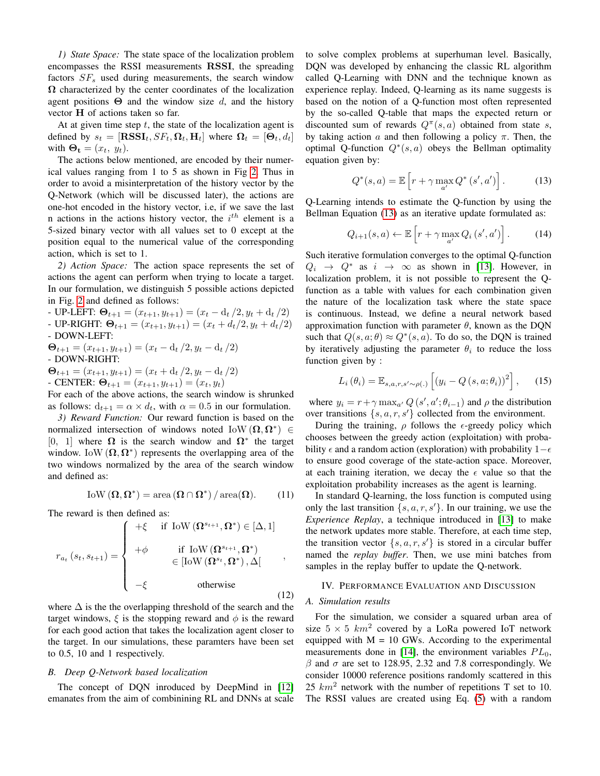*1) State Space:* The state space of the localization problem encompasses the RSSI measurements RSSI, the spreading factors  $SF<sub>s</sub>$  used during measurements, the search window  $\Omega$  characterized by the center coordinates of the localization agent positions  $\Theta$  and the window size d, and the history vector H of actions taken so far.

At at given time step  $t$ , the state of the localization agent is defined by  $s_t = [\text{RSSI}_t, SF_t, \Omega_t, H_t]$  where  $\Omega_t = [\Theta_t, d_t]$ with  $\mathbf{\Theta}_t = (x_t, y_t)$ .

The actions below mentioned, are encoded by their numerical values ranging from 1 to 5 as shown in Fig [2.](#page-2-4) Thus in order to avoid a misinterpretation of the history vector by the Q-Network (which will be discussed later), the actions are one-hot encoded in the history vector, i.e, if we save the last n actions in the actions history vector, the  $i^{th}$  element is a 5-sized binary vector with all values set to 0 except at the position equal to the numerical value of the corresponding action, which is set to 1.

*2) Action Space:* The action space represents the set of actions the agent can perform when trying to locate a target. In our formulation, we distinguish 5 possible actions depicted in Fig. [2](#page-2-4) and defined as follows:

- UP-LEFT:  $\Theta_{t+1} = (x_{t+1}, y_{t+1}) = (x_t - d_t/2, y_t + d_t/2)$ - UP-RIGHT:  $\Theta_{t+1} = (x_{t+1}, y_{t+1}) = (x_t + d_t/2, y_t + d_t/2)$ - DOWN-LEFT:  $\mathbf{\Theta}_{t+1} = (x_{t+1}, y_{t+1}) = (x_t - \mathrm{d}_t/2, y_t - \mathrm{d}_t/2)$ - DOWN-RIGHT:

 $\mathbf{\Theta}_{t+1} = (x_{t+1}, y_{t+1}) = (x_t + d_t/2, y_t - d_t/2)$ - CENTER:  $\Theta_{t+1} = (x_{t+1}, y_{t+1}) = (x_t, y_t)$ 

For each of the above actions, the search window is shrunked as follows:  $d_{t+1} = \alpha \times d_t$ , with  $\alpha = 0.5$  in our formulation.

*3) Reward Function:* Our reward function is based on the normalized intersection of windows noted  $\text{IoW}(\Omega, \Omega^*) \in$ [0, 1] where  $\Omega$  is the search window and  $\Omega^*$  the target window. IoW  $(\Omega, \Omega^*)$  represents the overlapping area of the two windows normalized by the area of the search window and defined as:

$$
\text{IoW}\left(\Omega,\Omega^*\right) = \text{area}\left(\Omega \cap \Omega^*\right) / \text{area}(\Omega). \tag{11}
$$

The reward is then defined as:

$$
r_{a_t}(s_t, s_{t+1}) = \begin{cases} +\xi & \text{if } \text{low}(\Omega^{s_{t+1}}, \Omega^*) \in [\Delta, 1] \\ +\phi & \text{if } \text{low}(\Omega^{s_{t+1}}, \Omega^*) \\ \in [\text{low}(\Omega^{s_t}, \Omega^*), \Delta] \\ -\xi & \text{otherwise} \end{cases}
$$
(12)

where  $\Delta$  is the the overlapping threshold of the search and the target windows,  $\xi$  is the stopping reward and  $\phi$  is the reward for each good action that takes the localization agent closer to the target. In our simulations, these paramters have been set to 0.5, 10 and 1 respectively.

# *B. Deep Q-Network based localization*

The concept of DQN inroduced by DeepMind in [\[12\]](#page-5-10) emanates from the aim of combinining RL and DNNs at scale to solve complex problems at superhuman level. Basically, DQN was developed by enhancing the classic RL algorithm called Q-Learning with DNN and the technique known as experience replay. Indeed, Q-learning as its name suggests is based on the notion of a Q-function most often represented by the so-called Q-table that maps the expected return or discounted sum of rewards  $Q^{\pi}(s, a)$  obtained from state s, by taking action a and then following a policy  $\pi$ . Then, the optimal Q-function  $Q^*(s, a)$  obeys the Bellman optimality equation given by:

<span id="page-3-1"></span>
$$
Q^*(s, a) = \mathbb{E}\left[r + \gamma \max_{a'} Q^*(s', a')\right].
$$
 (13)

Q-Learning intends to estimate the Q-function by using the Bellman Equation [\(13\)](#page-3-1) as an iterative update formulated as:

$$
Q_{i+1}(s,a) \leftarrow \mathbb{E}\left[r + \gamma \max_{a'} Q_i\left(s', a'\right)\right].\tag{14}
$$

Such iterative formulation converges to the optimal Q-function  $Q_i \rightarrow Q^*$  as  $i \rightarrow \infty$  as shown in [\[13\]](#page-5-11). However, in localization problem, it is not possible to represent the Qfunction as a table with values for each combination given the nature of the localization task where the state space is continuous. Instead, we define a neural network based approximation function with parameter  $\theta$ , known as the DQN such that  $Q(s, a; \theta) \approx Q^*(s, a)$ . To do so, the DQN is trained by iteratively adjusting the parameter  $\theta_i$  to reduce the loss function given by :

$$
L_i(\theta_i) = \mathbb{E}_{s,a,r,s' \sim \rho(.)} \left[ \left( y_i - Q\left(s,a;\theta_i\right) \right)^2 \right], \quad (15)
$$

where  $y_i = r + \gamma \max_{a'} Q(s', a'; \theta_{i-1})$  and  $\rho$  the distribution over transitions  $\{s, a, r, s'\}$  collected from the environment.

During the training,  $\rho$  follows the  $\epsilon$ -greedy policy which chooses between the greedy action (exploitation) with probability  $\epsilon$  and a random action (exploration) with probability 1– $\epsilon$ to ensure good coverage of the state-action space. Moreover, at each training iteration, we decay the  $\epsilon$  value so that the exploitation probability increases as the agent is learning.

In standard Q-learning, the loss function is computed using only the last transition  $\{s, a, r, s'\}$ . In our training, we use the *Experience Replay*, a technique introduced in [\[13\]](#page-5-11) to make the network updates more stable. Therefore, at each time step, the transition vector  $\{s, a, r, s'\}$  is stored in a circular buffer named the *replay buffer*. Then, we use mini batches from samples in the replay buffer to update the Q-network.

## <span id="page-3-0"></span>IV. PERFORMANCE EVALUATION AND DISCUSSION

## *A. Simulation results*

For the simulation, we consider a squared urban area of size  $5 \times 5$   $km^2$  covered by a LoRa powered IoT network equipped with  $M = 10$  GWs. According to the experimental measurements done in [\[14\]](#page-5-12), the environment variables  $PL_0$ ,  $β$  and  $σ$  are set to 128.95, 2.32 and 7.8 correspondingly. We consider 10000 reference positions randomly scattered in this 25  $km^2$  network with the number of repetitions T set to 10. The RSSI values are created using Eq. [\(5\)](#page-1-3) with a random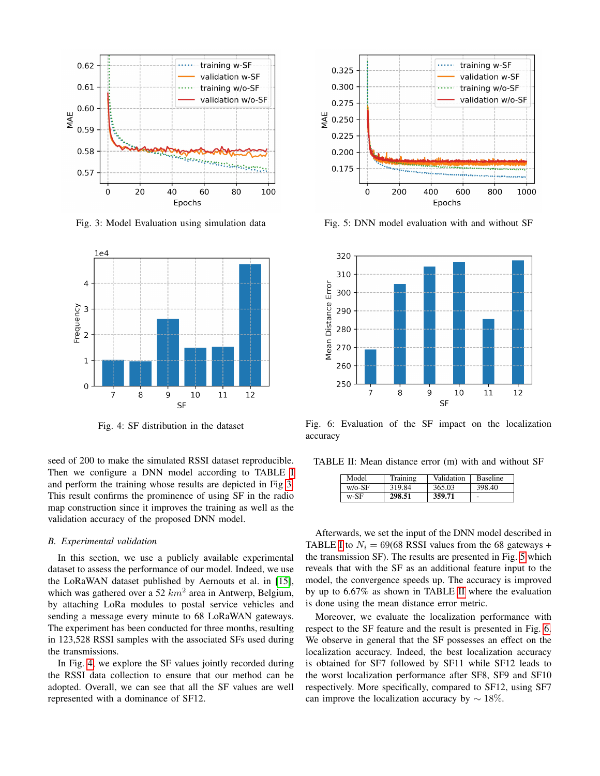<span id="page-4-0"></span>

Fig. 3: Model Evaluation using simulation data

<span id="page-4-1"></span>

Fig. 4: SF distribution in the dataset

seed of 200 to make the simulated RSSI dataset reproducible. Then we configure a DNN model according to TABLE [I](#page-2-3) and perform the training whose results are depicted in Fig [3.](#page-4-0) This result confirms the prominence of using SF in the radio map construction since it improves the training as well as the validation accuracy of the proposed DNN model.

## *B. Experimental validation*

In this section, we use a publicly available experimental dataset to assess the performance of our model. Indeed, we use the LoRaWAN dataset published by Aernouts et al. in [\[15\]](#page-5-13), which was gathered over a 52  $km^2$  area in Antwerp, Belgium, by attaching LoRa modules to postal service vehicles and sending a message every minute to 68 LoRaWAN gateways. The experiment has been conducted for three months, resulting in 123,528 RSSI samples with the associated SFs used during the transmissions.

In Fig. [4,](#page-4-1) we explore the SF values jointly recorded during the RSSI data collection to ensure that our method can be adopted. Overall, we can see that all the SF values are well represented with a dominance of SF12.

<span id="page-4-2"></span>

Fig. 5: DNN model evaluation with and without SF

<span id="page-4-4"></span>

Fig. 6: Evaluation of the SF impact on the localization accuracy

<span id="page-4-3"></span>TABLE II: Mean distance error (m) with and without SF

| Model     | Training | Validation | <b>Baseline</b> |
|-----------|----------|------------|-----------------|
| $w$ /o-SF | 319.84   | 365.03     | 398.40          |
| w-SF      | 298.51   | 359.71     | ۰               |

Afterwards, we set the input of the DNN model described in TABLE [I](#page-2-3) to  $N_i = 69(68 \text{ RSSI}$  values from the 68 gateways + the transmission SF). The results are presented in Fig. [5](#page-4-2) which reveals that with the SF as an additional feature input to the model, the convergence speeds up. The accuracy is improved by up to 6.67% as shown in TABLE [II](#page-4-3) where the evaluation is done using the mean distance error metric.

Moreover, we evaluate the localization performance with respect to the SF feature and the result is presented in Fig. [6.](#page-4-4) We observe in general that the SF possesses an effect on the localization accuracy. Indeed, the best localization accuracy is obtained for SF7 followed by SF11 while SF12 leads to the worst localization performance after SF8, SF9 and SF10 respectively. More specifically, compared to SF12, using SF7 can improve the localization accuracy by  $\sim 18\%$ .